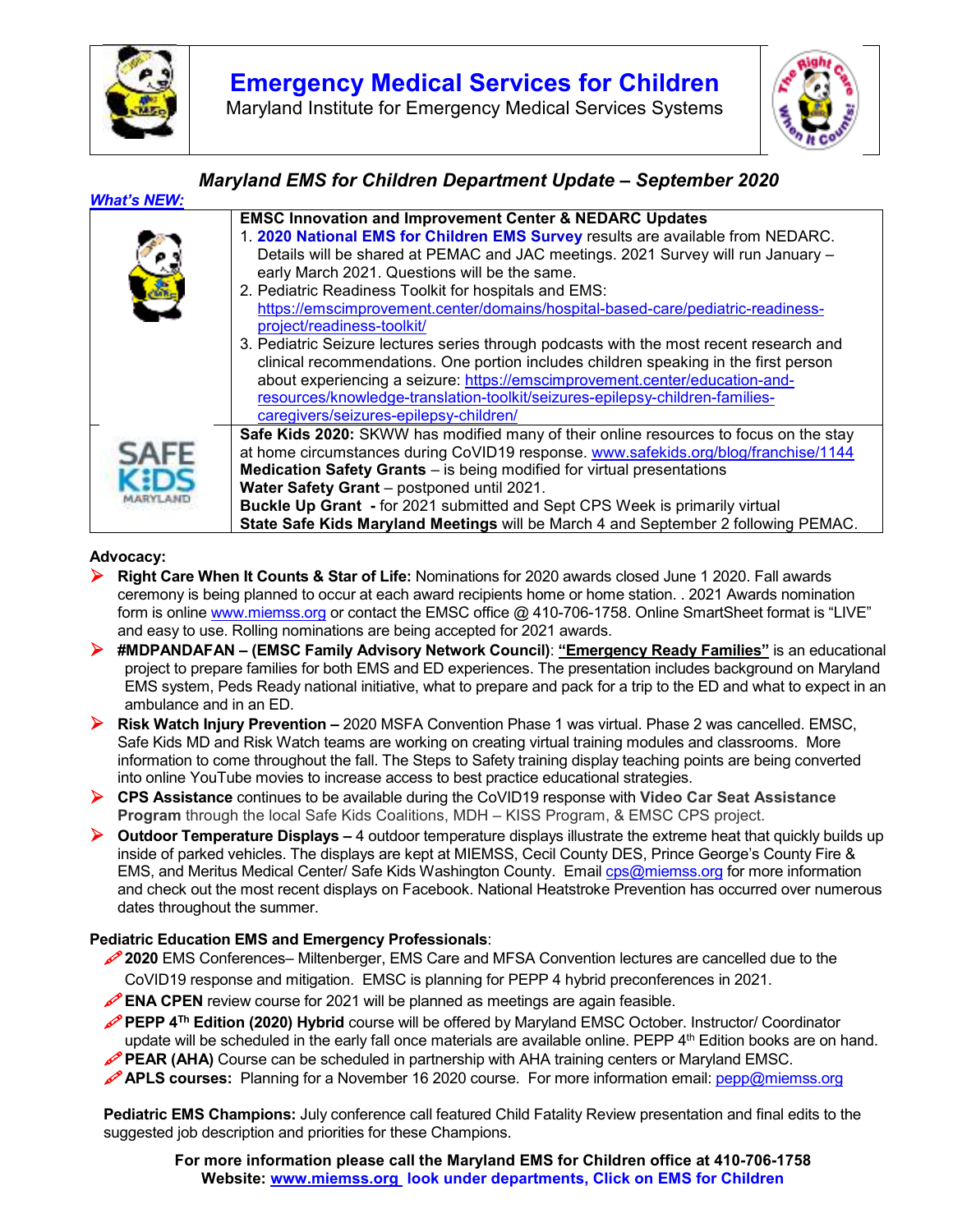

## **Emergency Medical Services for Children**

Maryland Institute for Emergency Medical Services Systems



#### *Maryland EMS for Children Department Update – September 2020 What's NEW:*  **EMSC Innovation and Improvement Center & NEDARC Updates**  1. **2020 National EMS for Children EMS Survey** results are available from NEDARC. Details will be shared at PEMAC and JAC meetings. 2021 Survey will run January – early March 2021. Questions will be the same. 2. Pediatric Readiness Toolkit for hospitals and EMS: https://emscimprovement.center/domains/hospital-based-care/pediatric-readinessproject/readiness-toolkit/ 3. Pediatric Seizure lectures series through podcasts with the most recent research and clinical recommendations. One portion includes children speaking in the first person about experiencing a seizure: https://emscimprovement.center/education-andresources/knowledge-translation-toolkit/seizures-epilepsy-children-familiescaregivers/seizures-epilepsy-children/ **Safe Kids 2020:** SKWW has modified many of their online resources to focus on the stay at home circumstances during CoVID19 response. www.safekids.org/blog/franchise/1144 **Medication Safety Grants** – is being modified for virtual presentations **Water Safety Grant** – postponed until 2021. **Buckle Up Grant -** for 2021 submitted and Sept CPS Week is primarily virtual **State Safe Kids Maryland Meetings** will be March 4 and September 2 following PEMAC.

#### **Advocacy:**

- **Right Care When It Counts & Star of Life:** Nominations for 2020 awards closed June 1 2020. Fall awards ceremony is being planned to occur at each award recipients home or home station. . 2021 Awards nomination form is online www.miemss.org or contact the EMSC office @ 410-706-1758. Online SmartSheet format is "LIVE" and easy to use. Rolling nominations are being accepted for 2021 awards.
- **#MDPANDAFAN (EMSC Family Advisory Network Council)**: **"Emergency Ready Families"** is an educational project to prepare families for both EMS and ED experiences. The presentation includes background on Maryland EMS system, Peds Ready national initiative, what to prepare and pack for a trip to the ED and what to expect in an ambulance and in an ED.
- **Risk Watch Injury Prevention –** 2020 MSFA Convention Phase 1 was virtual. Phase 2 was cancelled. EMSC, Safe Kids MD and Risk Watch teams are working on creating virtual training modules and classrooms. More information to come throughout the fall. The Steps to Safety training display teaching points are being converted into online YouTube movies to increase access to best practice educational strategies.
- **CPS Assistance** continues to be available during the CoVID19 response with **Video Car Seat Assistance Program** through the local Safe Kids Coalitions, MDH – KISS Program, & EMSC CPS project.
- **▶ Outdoor Temperature Displays –** 4 outdoor temperature displays illustrate the extreme heat that quickly builds up inside of parked vehicles. The displays are kept at MIEMSS, Cecil County DES, Prince George's County Fire & EMS, and Meritus Medical Center/ Safe Kids Washington County. Email cps@miemss.org for more information and check out the most recent displays on Facebook. National Heatstroke Prevention has occurred over numerous dates throughout the summer.

#### **Pediatric Education EMS and Emergency Professionals**:

- **2020** EMS Conferences– Miltenberger, EMS Care and MFSA Convention lectures are cancelled due to the CoVID19 response and mitigation. EMSC is planning for PEPP 4 hybrid preconferences in 2021.
- **ENA CPEN** review course for 2021 will be planned as meetings are again feasible.
- **PEPP 4Th Edition (2020) Hybrid** course will be offered by Maryland EMSC October. Instructor/ Coordinator update will be scheduled in the early fall once materials are available online. PEPP 4<sup>th</sup> Edition books are on hand.
- **PEAR (AHA)** Course can be scheduled in partnership with AHA training centers or Maryland EMSC.
- **APLS courses:** Planning for a November 16 2020 course. For more information email: pepp@miemss.org

**Pediatric EMS Champions:** July conference call featured Child Fatality Review presentation and final edits to the suggested job description and priorities for these Champions.

**For more information please call the Maryland EMS for Children office at 410-706-1758 Website: www.miemss.org look under departments, Click on EMS for Children**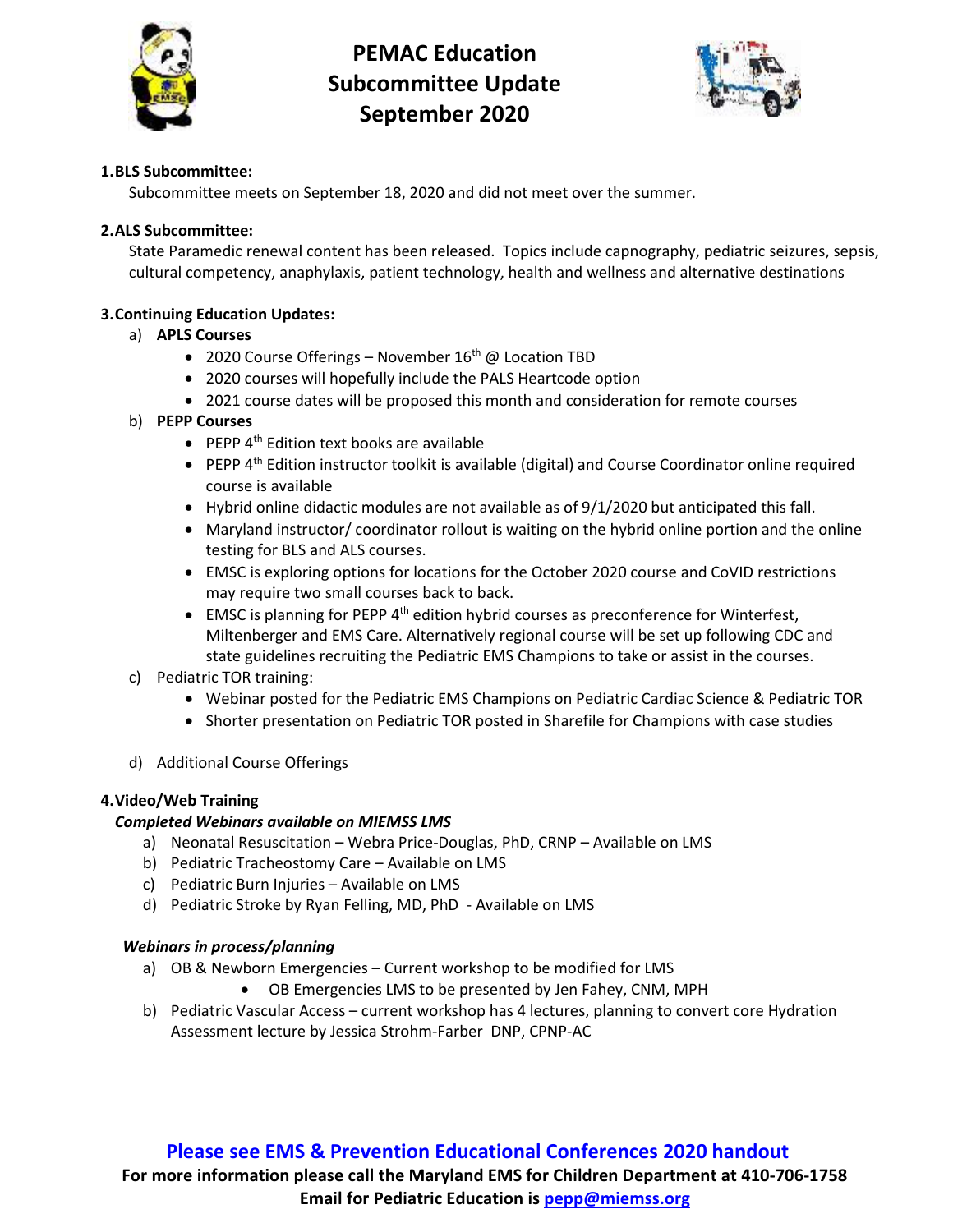

# **PEMAC Education Subcommittee Update September 2020**



#### **1.BLS Subcommittee:**

Subcommittee meets on September 18, 2020 and did not meet over the summer.

### **2.ALS Subcommittee:**

State Paramedic renewal content has been released. Topics include capnography, pediatric seizures, sepsis, cultural competency, anaphylaxis, patient technology, health and wellness and alternative destinations

### **3.Continuing Education Updates:**

### a) **APLS Courses**

- 2020 Course Offerings November  $16<sup>th</sup>$  @ Location TBD
- 2020 courses will hopefully include the PALS Heartcode option
- 2021 course dates will be proposed this month and consideration for remote courses

### b) **PEPP Courses**

- $\bullet$  PEPP 4<sup>th</sup> Edition text books are available
- $\bullet$  PEPP  $4<sup>th</sup>$  Edition instructor toolkit is available (digital) and Course Coordinator online required course is available
- $\bullet$  Hybrid online didactic modules are not available as of 9/1/2020 but anticipated this fall.
- Maryland instructor/ coordinator rollout is waiting on the hybrid online portion and the online testing for BLS and ALS courses.
- EMSC is exploring options for locations for the October 2020 course and CoVID restrictions may require two small courses back to back.
- **EMSC** is planning for PEPP  $4<sup>th</sup>$  edition hybrid courses as preconference for Winterfest, Miltenberger and EMS Care. Alternatively regional course will be set up following CDC and state guidelines recruiting the Pediatric EMS Champions to take or assist in the courses.
- c) Pediatric TOR training:
	- Webinar posted for the Pediatric EMS Champions on Pediatric Cardiac Science & Pediatric TOR
	- Shorter presentation on Pediatric TOR posted in Sharefile for Champions with case studies
- d) Additional Course Offerings

#### **4.Video/Web Training**

#### *Completed Webinars available on MIEMSS LMS*

- a) Neonatal Resuscitation Webra Price-Douglas, PhD, CRNP Available on LMS
- b) Pediatric Tracheostomy Care Available on LMS
- c) Pediatric Burn Injuries Available on LMS
- d) Pediatric Stroke by Ryan Felling, MD, PhD Available on LMS

#### *Webinars in process/planning*

- a) OB & Newborn Emergencies Current workshop to be modified for LMS
	- OB Emergencies LMS to be presented by Jen Fahey, CNM, MPH
- b) Pediatric Vascular Access current workshop has 4 lectures, planning to convert core Hydration Assessment lecture by Jessica Strohm-Farber DNP, CPNP-AC

## **Please see EMS & Prevention Educational Conferences 2020 handout**

**For more information please call the Maryland EMS for Children Department at 410-706-1758 Email for Pediatric Education is pepp@miemss.org**